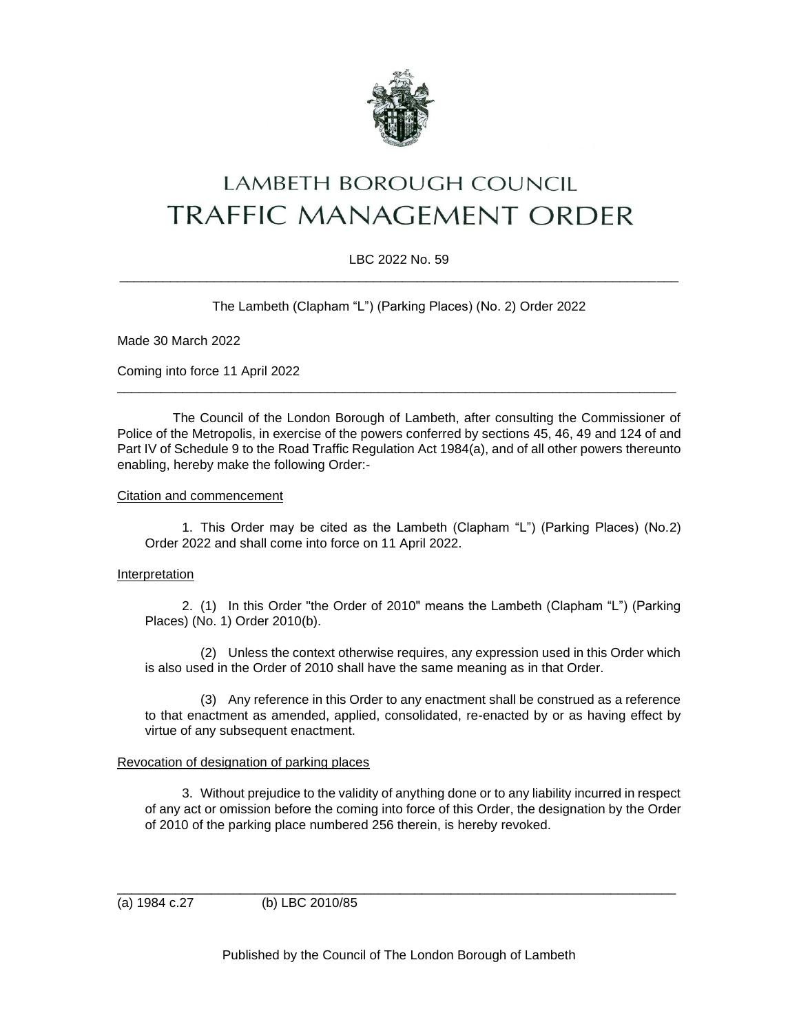

# LAMBETH BOROUGH COUNCIL **TRAFFIC MANAGEMENT ORDER**

## LBC 2022 No. 59 \_\_\_\_\_\_\_\_\_\_\_\_\_\_\_\_\_\_\_\_\_\_\_\_\_\_\_\_\_\_\_\_\_\_\_\_\_\_\_\_\_\_\_\_\_\_\_\_\_\_\_\_\_\_\_\_\_\_\_\_\_\_\_\_\_\_\_\_\_\_\_\_\_\_\_\_\_

The Lambeth (Clapham "L") (Parking Places) (No. 2) Order 2022

Made 30 March 2022

Coming into force 11 April 2022

The Council of the London Borough of Lambeth, after consulting the Commissioner of Police of the Metropolis, in exercise of the powers conferred by sections 45, 46, 49 and 124 of and Part IV of Schedule 9 to the Road Traffic Regulation Act 1984(a), and of all other powers thereunto enabling, hereby make the following Order:-

\_\_\_\_\_\_\_\_\_\_\_\_\_\_\_\_\_\_\_\_\_\_\_\_\_\_\_\_\_\_\_\_\_\_\_\_\_\_\_\_\_\_\_\_\_\_\_\_\_\_\_\_\_\_\_\_\_\_\_\_\_\_\_\_\_\_\_\_\_\_\_\_\_\_\_\_\_

### Citation and commencement

1. This Order may be cited as the Lambeth (Clapham "L") (Parking Places) (No.2) Order 2022 and shall come into force on 11 April 2022.

### Interpretation

2. (1) In this Order "the Order of 2010" means the Lambeth (Clapham "L") (Parking Places) (No. 1) Order 2010(b).

(2) Unless the context otherwise requires, any expression used in this Order which is also used in the Order of 2010 shall have the same meaning as in that Order.

(3) Any reference in this Order to any enactment shall be construed as a reference to that enactment as amended, applied, consolidated, re-enacted by or as having effect by virtue of any subsequent enactment.

### Revocation of designation of parking places

3. Without prejudice to the validity of anything done or to any liability incurred in respect of any act or omission before the coming into force of this Order, the designation by the Order of 2010 of the parking place numbered 256 therein, is hereby revoked.

(a) 1984 c.27 (b) LBC 2010/85

Published by the Council of The London Borough of Lambeth

\_\_\_\_\_\_\_\_\_\_\_\_\_\_\_\_\_\_\_\_\_\_\_\_\_\_\_\_\_\_\_\_\_\_\_\_\_\_\_\_\_\_\_\_\_\_\_\_\_\_\_\_\_\_\_\_\_\_\_\_\_\_\_\_\_\_\_\_\_\_\_\_\_\_\_\_\_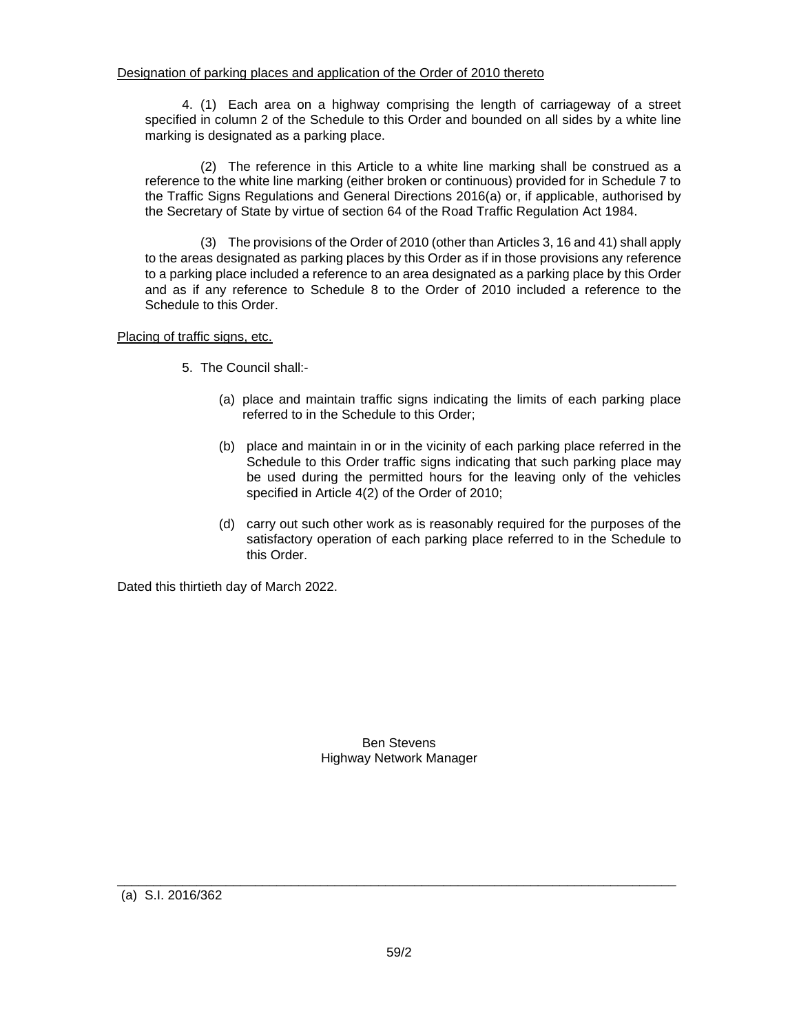4. (1) Each area on a highway comprising the length of carriageway of a street specified in column 2 of the Schedule to this Order and bounded on all sides by a white line marking is designated as a parking place.

(2) The reference in this Article to a white line marking shall be construed as a reference to the white line marking (either broken or continuous) provided for in Schedule 7 to the Traffic Signs Regulations and General Directions 2016(a) or, if applicable, authorised by the Secretary of State by virtue of section 64 of the Road Traffic Regulation Act 1984.

(3) The provisions of the Order of 2010 (other than Articles 3, 16 and 41) shall apply to the areas designated as parking places by this Order as if in those provisions any reference to a parking place included a reference to an area designated as a parking place by this Order and as if any reference to Schedule 8 to the Order of 2010 included a reference to the Schedule to this Order.

Placing of traffic signs, etc.

- 5. The Council shall:-
	- (a) place and maintain traffic signs indicating the limits of each parking place referred to in the Schedule to this Order;
	- (b) place and maintain in or in the vicinity of each parking place referred in the Schedule to this Order traffic signs indicating that such parking place may be used during the permitted hours for the leaving only of the vehicles specified in Article 4(2) of the Order of 2010;
	- (d) carry out such other work as is reasonably required for the purposes of the satisfactory operation of each parking place referred to in the Schedule to this Order.

Dated this thirtieth day of March 2022.

Ben Stevens Highway Network Manager

(a) S.I. 2016/362

\_\_\_\_\_\_\_\_\_\_\_\_\_\_\_\_\_\_\_\_\_\_\_\_\_\_\_\_\_\_\_\_\_\_\_\_\_\_\_\_\_\_\_\_\_\_\_\_\_\_\_\_\_\_\_\_\_\_\_\_\_\_\_\_\_\_\_\_\_\_\_\_\_\_\_\_\_